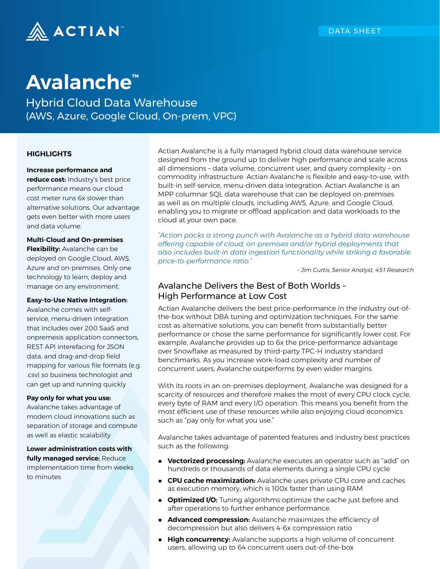

# **Avalanche™**

Hybrid Cloud Data Warehouse (AWS, Azure, Google Cloud, On-prem, VPC)

#### **HIGHLIGHTS**

#### **Increase performance and**

**reduce cost:** Industry's best price performance means our cloud cost meter runs 6x slower than alternative solutions. Our advantage gets even better with more users and data volume.

#### **Multi-Cloud and On-premises**

**Flexibility:** Avalanche can be deployed on Google Cloud, AWS, Azure and on-premises. Only one technology to learn, deploy and manage on any environment.

#### **Easy-to-Use Native Integration:**

Avalanche comes with selfservice, menu-driven integration that includes over 200 SaaS and onpremesis application connectors, REST API interefacing for JSON data, and drag-and-drop field mapping for various file formats (e.g. .csv) so business technologist and can get up and running quickly

#### **Pay only for what you use:**

Avalanche takes advantage of modern cloud innovations such as separation of storage and compute as well as elastic scalability

**Lower administration costs with fully managed service:** Reduce implementation time from weeks to minutes

Actian Avalanche is a fully managed hybrid cloud data warehouse service designed from the ground up to deliver high performance and scale across all dimensions – data volume, concurrent user, and query complexity – on commodity infrastructure. Actian Avalanche is flexible and easy-to-use, with built-in self-service, menu-driven data integration. Actian Avalanche is an MPP columnar SQL data warehouse that can be deployed on-premises as well as on multiple clouds, including AWS, Azure, and Google Cloud, enabling you to migrate or offload application and data workloads to the cloud at your own pace.

*"Actian packs a strong punch with Avalanche as a hybrid data warehouse offering capable of cloud, on-premises and/or hybrid deployments that also includes built-in data ingestion functionality while striking a favorable price-to-performance ratio."* 

*– Jim Curtis, Senior Analyst, 451 Research*

### Avalanche Delivers the Best of Both Worlds – High Performance at Low Cost

Actian Avalanche delivers the best price-performance in the industry out-ofthe-box without DBA tuning and optimization techniques. For the same cost as alternative solutions, you can benefit from substantially better performance or chose the same performance for significantly lower cost. For example, Avalanche provides up to 6x the price-performance advantage over Snowflake as measured by third-party TPC-H industry standard benchmarks. As you increase work-load complexity and number of concurrent users, Avalanche outperforms by even wider margins.

With its roots in an on-premises deployment, Avalanche was designed for a scarcity of resources and therefore makes the most of every CPU clock cycle, every byte of RAM and every I/O operation. This means you benefit from the most efficient use of these resources while also enjoying cloud economics such as "pay only for what you use."

Avalanche takes advantage of patented features and industry best practices such as the following:

- **Vectorized processing:** Avalanche executes an operator such as "add" on hundreds or thousands of data elements during a single CPU cycle
- **CPU cache maximization:** Avalanche uses private CPU core and caches as execution memory, which is 100x faster than using RAM
- **Optimized I/O:** Tuning algorithms optimize the cache just before and after operations to further enhance performance.
- **Advanced compression:** Avalanche maximizes the efficiency of decompression but also delivers 4-6x compression ratio
- **High concurrency:** Avalanche supports a high volume of concurrent users, allowing up to 64 concurrent users out-of-the-box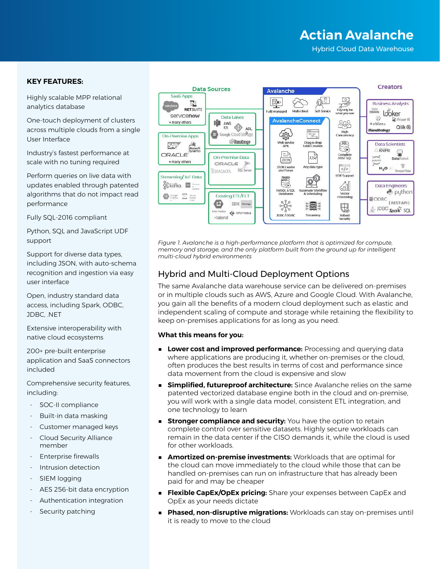# **Actian Avalanche**

Hybrid Cloud Data Warehouse

#### **KEY FEATURES:**

Highly scalable MPP relational analytics database

One-touch deployment of clusters across multiple clouds from a single User Interface

Industry's fastest performance at scale with no tuning required

Perform queries on live data with updates enabled through patented algorithms that do not impact read performance

Fully SQL-2016 compliant

Python, SQL and JavaScript UDF support

Support for diverse data types, including JSON, with auto-schema recognition and ingestion via easy user interface

Open, industry standard data access, including Spark, ODBC, JDBC, .NET

Extensive interoperability with native cloud ecosystems

200+ pre-built enterprise application and SaaS connectors included

Comprehensive security features, including:

- ‐ SOC-II compliance
- ‐ Built-in data masking
- ‐ Customer managed keys
- ‐ Cloud Security Alliance member
- ‐ Enterprise firewalls
- ‐ Intrusion detection
- SIEM logging
- ‐ AES 256-bit data encryption
- ‐ Authentication integration
- Security patching



*Figure 1. Avalanche is a high-performance platform that is optimized for compute, memory and storage, and the only platform built from the ground up for intelligent multi-cloud hybrid environments*

# Hybrid and Multi-Cloud Deployment Options

The same Avalanche data warehouse service can be delivered on-premises or in multiple clouds such as AWS, Azure and Google Cloud. With Avalanche, you gain all the benefits of a modern cloud deployment such as elastic and independent scaling of compute and storage while retaining the flexibility to keep on-premises applications for as long as you need.

#### **What this means for you:**

- **Lower cost and improved performance:** Processing and querying data where applications are producing it, whether on-premises or the cloud, often produces the best results in terms of cost and performance since data movement from the cloud is expensive and slow
- **Simplified, futureproof architecture:** Since Avalanche relies on the same patented vectorized database engine both in the cloud and on-premise, you will work with a single data model, consistent ETL integration, and one technology to learn
- **Extronger compliance and security:** You have the option to retain complete control over sensitive datasets. Highly secure workloads can remain in the data center if the CISO demands it, while the cloud is used for other workloads.
- **Amortized on-premise investments:** Workloads that are optimal for the cloud can move immediately to the cloud while those that can be handled on-premises can run on infrastructure that has already been paid for and may be cheaper
- **Flexible CapEx/OpEx pricing:** Share your expenses between CapEx and OpEx as your needs dictate
- **Phased, non-disruptive migrations:** Workloads can stay on-premises until it is ready to move to the cloud